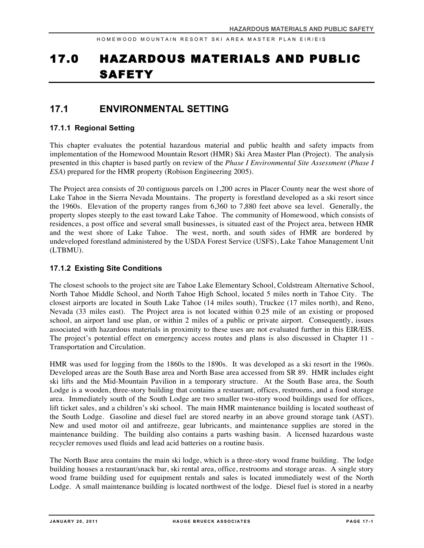# 17.0 HAZARDOUS MATERIALS AND PUBLIC SAFETY

# **17.1 ENVIRONMENTAL SETTING**

# **17.1.1 Regional Setting**

This chapter evaluates the potential hazardous material and public health and safety impacts from implementation of the Homewood Mountain Resort (HMR) Ski Area Master Plan (Project). The analysis presented in this chapter is based partly on review of the *Phase I Environmental Site Assessment* (*Phase I ESA*) prepared for the HMR property (Robison Engineering 2005).

The Project area consists of 20 contiguous parcels on 1,200 acres in Placer County near the west shore of Lake Tahoe in the Sierra Nevada Mountains. The property is forestland developed as a ski resort since the 1960s. Elevation of the property ranges from 6,360 to 7,880 feet above sea level. Generally, the property slopes steeply to the east toward Lake Tahoe. The community of Homewood, which consists of residences, a post office and several small businesses, is situated east of the Project area, between HMR and the west shore of Lake Tahoe. The west, north, and south sides of HMR are bordered by undeveloped forestland administered by the USDA Forest Service (USFS), Lake Tahoe Management Unit (LTBMU).

# **17.1.2 Existing Site Conditions**

The closest schools to the project site are Tahoe Lake Elementary School, Coldstream Alternative School, North Tahoe Middle School, and North Tahoe High School, located 5 miles north in Tahoe City. The closest airports are located in South Lake Tahoe (14 miles south), Truckee (17 miles north), and Reno, Nevada (33 miles east). The Project area is not located within 0.25 mile of an existing or proposed school, an airport land use plan, or within 2 miles of a public or private airport. Consequently, issues associated with hazardous materials in proximity to these uses are not evaluated further in this EIR/EIS. The project's potential effect on emergency access routes and plans is also discussed in Chapter 11 - Transportation and Circulation.

HMR was used for logging from the 1860s to the 1890s. It was developed as a ski resort in the 1960s. Developed areas are the South Base area and North Base area accessed from SR 89. HMR includes eight ski lifts and the Mid-Mountain Pavilion in a temporary structure. At the South Base area, the South Lodge is a wooden, three-story building that contains a restaurant, offices, restrooms, and a food storage area. Immediately south of the South Lodge are two smaller two-story wood buildings used for offices, lift ticket sales, and a children's ski school. The main HMR maintenance building is located southeast of the South Lodge. Gasoline and diesel fuel are stored nearby in an above ground storage tank (AST). New and used motor oil and antifreeze, gear lubricants, and maintenance supplies are stored in the maintenance building. The building also contains a parts washing basin. A licensed hazardous waste recycler removes used fluids and lead acid batteries on a routine basis.

The North Base area contains the main ski lodge, which is a three-story wood frame building. The lodge building houses a restaurant/snack bar, ski rental area, office, restrooms and storage areas. A single story wood frame building used for equipment rentals and sales is located immediately west of the North Lodge. A small maintenance building is located northwest of the lodge. Diesel fuel is stored in a nearby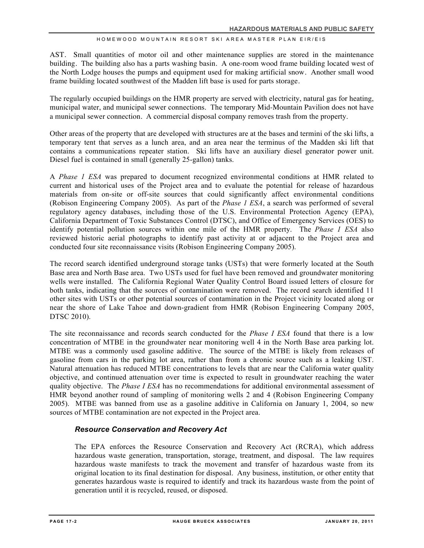AST. Small quantities of motor oil and other maintenance supplies are stored in the maintenance building. The building also has a parts washing basin. A one-room wood frame building located west of the North Lodge houses the pumps and equipment used for making artificial snow. Another small wood frame building located southwest of the Madden lift base is used for parts storage.

The regularly occupied buildings on the HMR property are served with electricity, natural gas for heating, municipal water, and municipal sewer connections. The temporary Mid-Mountain Pavilion does not have a municipal sewer connection. A commercial disposal company removes trash from the property.

Other areas of the property that are developed with structures are at the bases and termini of the ski lifts, a temporary tent that serves as a lunch area, and an area near the terminus of the Madden ski lift that contains a communications repeater station. Ski lifts have an auxiliary diesel generator power unit. Diesel fuel is contained in small (generally 25-gallon) tanks.

A *Phase 1 ESA* was prepared to document recognized environmental conditions at HMR related to current and historical uses of the Project area and to evaluate the potential for release of hazardous materials from on-site or off-site sources that could significantly affect environmental conditions (Robison Engineering Company 2005). As part of the *Phase 1 ESA*, a search was performed of several regulatory agency databases, including those of the U.S. Environmental Protection Agency (EPA), California Department of Toxic Substances Control (DTSC), and Office of Emergency Services (OES) to identify potential pollution sources within one mile of the HMR property. The *Phase 1 ESA* also reviewed historic aerial photographs to identify past activity at or adjacent to the Project area and conducted four site reconnaissance visits (Robison Engineering Company 2005).

The record search identified underground storage tanks (USTs) that were formerly located at the South Base area and North Base area. Two USTs used for fuel have been removed and groundwater monitoring wells were installed. The California Regional Water Quality Control Board issued letters of closure for both tanks, indicating that the sources of contamination were removed. The record search identified 11 other sites with USTs or other potential sources of contamination in the Project vicinity located along or near the shore of Lake Tahoe and down-gradient from HMR (Robison Engineering Company 2005, DTSC 2010).

The site reconnaissance and records search conducted for the *Phase I ESA* found that there is a low concentration of MTBE in the groundwater near monitoring well 4 in the North Base area parking lot. MTBE was a commonly used gasoline additive. The source of the MTBE is likely from releases of gasoline from cars in the parking lot area, rather than from a chronic source such as a leaking UST. Natural attenuation has reduced MTBE concentrations to levels that are near the California water quality objective, and continued attenuation over time is expected to result in groundwater reaching the water quality objective. The *Phase I ESA* has no recommendations for additional environmental assessment of HMR beyond another round of sampling of monitoring wells 2 and 4 (Robison Engineering Company 2005). MTBE was banned from use as a gasoline additive in California on January 1, 2004, so new sources of MTBE contamination are not expected in the Project area.

# *Resource Conservation and Recovery Act*

The EPA enforces the Resource Conservation and Recovery Act (RCRA), which address hazardous waste generation, transportation, storage, treatment, and disposal. The law requires hazardous waste manifests to track the movement and transfer of hazardous waste from its original location to its final destination for disposal. Any business, institution, or other entity that generates hazardous waste is required to identify and track its hazardous waste from the point of generation until it is recycled, reused, or disposed.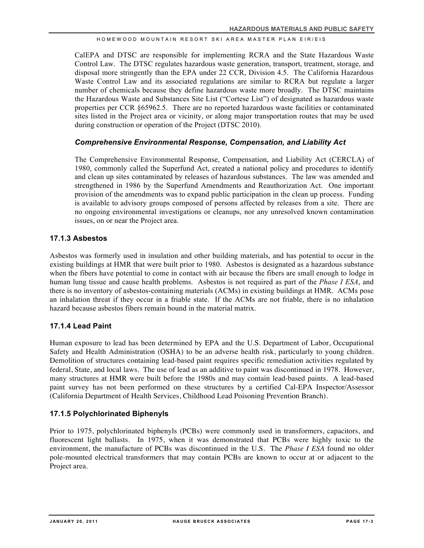CalEPA and DTSC are responsible for implementing RCRA and the State Hazardous Waste Control Law. The DTSC regulates hazardous waste generation, transport, treatment, storage, and disposal more stringently than the EPA under 22 CCR, Division 4.5. The California Hazardous Waste Control Law and its associated regulations are similar to RCRA but regulate a larger number of chemicals because they define hazardous waste more broadly. The DTSC maintains the Hazardous Waste and Substances Site List ("Cortese List") of designated as hazardous waste properties per CCR §65962.5. There are no reported hazardous waste facilities or contaminated sites listed in the Project area or vicinity, or along major transportation routes that may be used during construction or operation of the Project (DTSC 2010).

# *Comprehensive Environmental Response, Compensation, and Liability Act*

The Comprehensive Environmental Response, Compensation, and Liability Act (CERCLA) of 1980, commonly called the Superfund Act, created a national policy and procedures to identify and clean up sites contaminated by releases of hazardous substances. The law was amended and strengthened in 1986 by the Superfund Amendments and Reauthorization Act. One important provision of the amendments was to expand public participation in the clean up process. Funding is available to advisory groups composed of persons affected by releases from a site. There are no ongoing environmental investigations or cleanups, nor any unresolved known contamination issues, on or near the Project area.

# **17.1.3 Asbestos**

Asbestos was formerly used in insulation and other building materials, and has potential to occur in the existing buildings at HMR that were built prior to 1980. Asbestos is designated as a hazardous substance when the fibers have potential to come in contact with air because the fibers are small enough to lodge in human lung tissue and cause health problems. Asbestos is not required as part of the *Phase I ESA*, and there is no inventory of asbestos-containing materials (ACMs) in existing buildings at HMR. ACMs pose an inhalation threat if they occur in a friable state. If the ACMs are not friable, there is no inhalation hazard because asbestos fibers remain bound in the material matrix.

# **17.1.4 Lead Paint**

Human exposure to lead has been determined by EPA and the U.S. Department of Labor, Occupational Safety and Health Administration (OSHA) to be an adverse health risk, particularly to young children. Demolition of structures containing lead-based paint requires specific remediation activities regulated by federal, State, and local laws. The use of lead as an additive to paint was discontinued in 1978. However, many structures at HMR were built before the 1980s and may contain lead-based paints. A lead-based paint survey has not been performed on these structures by a certified Cal-EPA Inspector/Assessor (California Department of Health Services, Childhood Lead Poisoning Prevention Branch).

# **17.1.5 Polychlorinated Biphenyls**

Prior to 1975, polychlorinated biphenyls (PCBs) were commonly used in transformers, capacitors, and fluorescent light ballasts. In 1975, when it was demonstrated that PCBs were highly toxic to the environment, the manufacture of PCBs was discontinued in the U.S. The *Phase I ESA* found no older pole-mounted electrical transformers that may contain PCBs are known to occur at or adjacent to the Project area.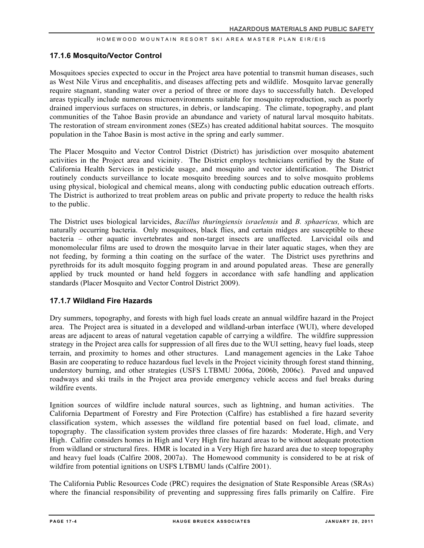# **17.1.6 Mosquito/Vector Control**

Mosquitoes species expected to occur in the Project area have potential to transmit human diseases, such as West Nile Virus and encephalitis, and diseases affecting pets and wildlife. Mosquito larvae generally require stagnant, standing water over a period of three or more days to successfully hatch. Developed areas typically include numerous microenvironments suitable for mosquito reproduction, such as poorly drained impervious surfaces on structures, in debris, or landscaping. The climate, topography, and plant communities of the Tahoe Basin provide an abundance and variety of natural larval mosquito habitats. The restoration of stream environment zones (SEZs) has created additional habitat sources. The mosquito population in the Tahoe Basin is most active in the spring and early summer.

The Placer Mosquito and Vector Control District (District) has jurisdiction over mosquito abatement activities in the Project area and vicinity. The District employs technicians certified by the State of California Health Services in pesticide usage, and mosquito and vector identification. The District routinely conducts surveillance to locate mosquito breeding sources and to solve mosquito problems using physical, biological and chemical means, along with conducting public education outreach efforts. The District is authorized to treat problem areas on public and private property to reduce the health risks to the public.

The District uses biological larvicides, *Bacillus thuringiensis israelensis* and *B. sphaericus,* which are naturally occurring bacteria. Only mosquitoes, black flies, and certain midges are susceptible to these bacteria – other aquatic invertebrates and non-target insects are unaffected. Larvicidal oils and monomolecular films are used to drown the mosquito larvae in their later aquatic stages, when they are not feeding, by forming a thin coating on the surface of the water. The District uses pyrethrins and pyrethroids for its adult mosquito fogging program in and around populated areas. These are generally applied by truck mounted or hand held foggers in accordance with safe handling and application standards (Placer Mosquito and Vector Control District 2009).

# **17.1.7 Wildland Fire Hazards**

Dry summers, topography, and forests with high fuel loads create an annual wildfire hazard in the Project area. The Project area is situated in a developed and wildland-urban interface (WUI), where developed areas are adjacent to areas of natural vegetation capable of carrying a wildfire. The wildfire suppression strategy in the Project area calls for suppression of all fires due to the WUI setting, heavy fuel loads, steep terrain, and proximity to homes and other structures. Land management agencies in the Lake Tahoe Basin are cooperating to reduce hazardous fuel levels in the Project vicinity through forest stand thinning, understory burning, and other strategies (USFS LTBMU 2006a, 2006b, 2006c). Paved and unpaved roadways and ski trails in the Project area provide emergency vehicle access and fuel breaks during wildfire events.

Ignition sources of wildfire include natural sources, such as lightning, and human activities. The California Department of Forestry and Fire Protection (Calfire) has established a fire hazard severity classification system, which assesses the wildland fire potential based on fuel load, climate, and topography. The classification system provides three classes of fire hazards: Moderate, High, and Very High. Calfire considers homes in High and Very High fire hazard areas to be without adequate protection from wildland or structural fires. HMR is located in a Very High fire hazard area due to steep topography and heavy fuel loads (Calfire 2008, 2007a). The Homewood community is considered to be at risk of wildfire from potential ignitions on USFS LTBMU lands (Calfire 2001).

The California Public Resources Code (PRC) requires the designation of State Responsible Areas (SRAs) where the financial responsibility of preventing and suppressing fires falls primarily on Calfire. Fire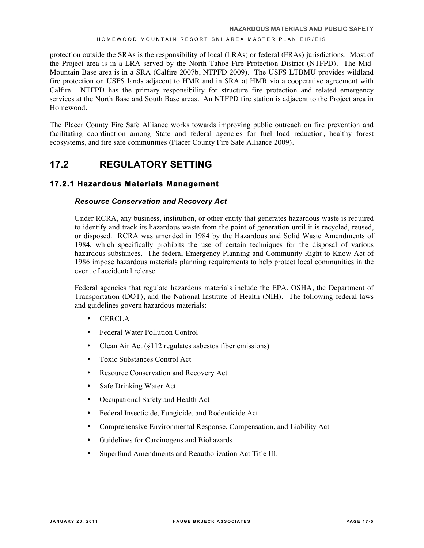protection outside the SRAs is the responsibility of local (LRAs) or federal (FRAs) jurisdictions. Most of the Project area is in a LRA served by the North Tahoe Fire Protection District (NTFPD). The Mid-Mountain Base area is in a SRA (Calfire 2007b, NTPFD 2009). The USFS LTBMU provides wildland fire protection on USFS lands adjacent to HMR and in SRA at HMR via a cooperative agreement with Calfire. NTFPD has the primary responsibility for structure fire protection and related emergency services at the North Base and South Base areas. An NTFPD fire station is adjacent to the Project area in Homewood.

The Placer County Fire Safe Alliance works towards improving public outreach on fire prevention and facilitating coordination among State and federal agencies for fuel load reduction, healthy forest ecosystems, and fire safe communities (Placer County Fire Safe Alliance 2009).

# **17.2 REGULATORY SETTING**

# **17.2.1 Hazardous Materials Management**

# *Resource Conservation and Recovery Act*

Under RCRA, any business, institution, or other entity that generates hazardous waste is required to identify and track its hazardous waste from the point of generation until it is recycled, reused, or disposed. RCRA was amended in 1984 by the Hazardous and Solid Waste Amendments of 1984, which specifically prohibits the use of certain techniques for the disposal of various hazardous substances. The federal Emergency Planning and Community Right to Know Act of 1986 impose hazardous materials planning requirements to help protect local communities in the event of accidental release.

Federal agencies that regulate hazardous materials include the EPA, OSHA, the Department of Transportation (DOT), and the National Institute of Health (NIH). The following federal laws and guidelines govern hazardous materials:

- CERCLA
- Federal Water Pollution Control
- Clean Air Act (§112 regulates asbestos fiber emissions)
- Toxic Substances Control Act
- Resource Conservation and Recovery Act
- Safe Drinking Water Act
- Occupational Safety and Health Act
- Federal Insecticide, Fungicide, and Rodenticide Act
- Comprehensive Environmental Response, Compensation, and Liability Act
- Guidelines for Carcinogens and Biohazards
- Superfund Amendments and Reauthorization Act Title III.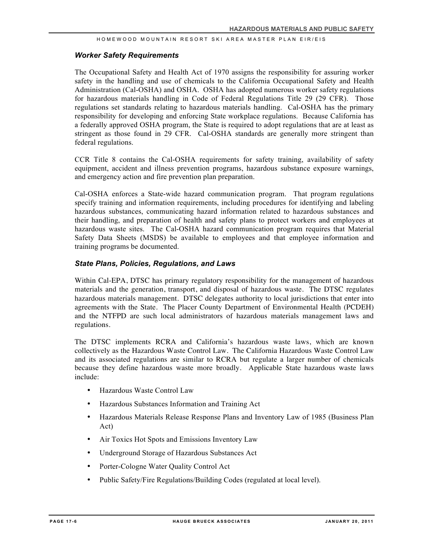# *Worker Safety Requirements*

The Occupational Safety and Health Act of 1970 assigns the responsibility for assuring worker safety in the handling and use of chemicals to the California Occupational Safety and Health Administration (Cal-OSHA) and OSHA. OSHA has adopted numerous worker safety regulations for hazardous materials handling in Code of Federal Regulations Title 29 (29 CFR). Those regulations set standards relating to hazardous materials handling. Cal-OSHA has the primary responsibility for developing and enforcing State workplace regulations. Because California has a federally approved OSHA program, the State is required to adopt regulations that are at least as stringent as those found in 29 CFR. Cal-OSHA standards are generally more stringent than federal regulations.

CCR Title 8 contains the Cal-OSHA requirements for safety training, availability of safety equipment, accident and illness prevention programs, hazardous substance exposure warnings, and emergency action and fire prevention plan preparation.

Cal-OSHA enforces a State-wide hazard communication program. That program regulations specify training and information requirements, including procedures for identifying and labeling hazardous substances, communicating hazard information related to hazardous substances and their handling, and preparation of health and safety plans to protect workers and employees at hazardous waste sites. The Cal-OSHA hazard communication program requires that Material Safety Data Sheets (MSDS) be available to employees and that employee information and training programs be documented.

## *State Plans, Policies, Regulations, and Laws*

Within Cal-EPA, DTSC has primary regulatory responsibility for the management of hazardous materials and the generation, transport, and disposal of hazardous waste. The DTSC regulates hazardous materials management. DTSC delegates authority to local jurisdictions that enter into agreements with the State. The Placer County Department of Environmental Health (PCDEH) and the NTFPD are such local administrators of hazardous materials management laws and regulations.

The DTSC implements RCRA and California's hazardous waste laws, which are known collectively as the Hazardous Waste Control Law. The California Hazardous Waste Control Law and its associated regulations are similar to RCRA but regulate a larger number of chemicals because they define hazardous waste more broadly. Applicable State hazardous waste laws include:

- Hazardous Waste Control Law
- Hazardous Substances Information and Training Act
- Hazardous Materials Release Response Plans and Inventory Law of 1985 (Business Plan Act)
- Air Toxics Hot Spots and Emissions Inventory Law
- Underground Storage of Hazardous Substances Act
- Porter-Cologne Water Quality Control Act
- Public Safety/Fire Regulations/Building Codes (regulated at local level).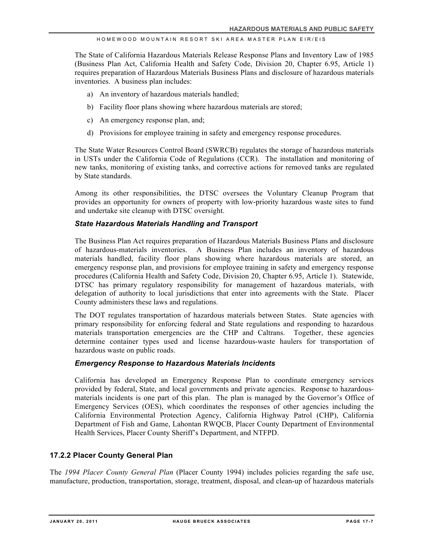The State of California Hazardous Materials Release Response Plans and Inventory Law of 1985 (Business Plan Act, California Health and Safety Code, Division 20, Chapter 6.95, Article 1) requires preparation of Hazardous Materials Business Plans and disclosure of hazardous materials inventories. A business plan includes:

- a) An inventory of hazardous materials handled;
- b) Facility floor plans showing where hazardous materials are stored;
- c) An emergency response plan, and;
- d) Provisions for employee training in safety and emergency response procedures.

The State Water Resources Control Board (SWRCB) regulates the storage of hazardous materials in USTs under the California Code of Regulations (CCR). The installation and monitoring of new tanks, monitoring of existing tanks, and corrective actions for removed tanks are regulated by State standards.

Among its other responsibilities, the DTSC oversees the Voluntary Cleanup Program that provides an opportunity for owners of property with low-priority hazardous waste sites to fund and undertake site cleanup with DTSC oversight.

# *State Hazardous Materials Handling and Transport*

The Business Plan Act requires preparation of Hazardous Materials Business Plans and disclosure of hazardous-materials inventories. A Business Plan includes an inventory of hazardous materials handled, facility floor plans showing where hazardous materials are stored, an emergency response plan, and provisions for employee training in safety and emergency response procedures (California Health and Safety Code, Division 20, Chapter 6.95, Article 1). Statewide, DTSC has primary regulatory responsibility for management of hazardous materials, with delegation of authority to local jurisdictions that enter into agreements with the State. Placer County administers these laws and regulations.

The DOT regulates transportation of hazardous materials between States. State agencies with primary responsibility for enforcing federal and State regulations and responding to hazardous materials transportation emergencies are the CHP and Caltrans. Together, these agencies determine container types used and license hazardous-waste haulers for transportation of hazardous waste on public roads.

## *Emergency Response to Hazardous Materials Incidents*

California has developed an Emergency Response Plan to coordinate emergency services provided by federal, State, and local governments and private agencies. Response to hazardousmaterials incidents is one part of this plan. The plan is managed by the Governor's Office of Emergency Services (OES), which coordinates the responses of other agencies including the California Environmental Protection Agency, California Highway Patrol (CHP), California Department of Fish and Game, Lahontan RWQCB, Placer County Department of Environmental Health Services, Placer County Sheriff's Department, and NTFPD.

# **17.2.2 Placer County General Plan**

The *1994 Placer County General Plan* (Placer County 1994) includes policies regarding the safe use, manufacture, production, transportation, storage, treatment, disposal, and clean-up of hazardous materials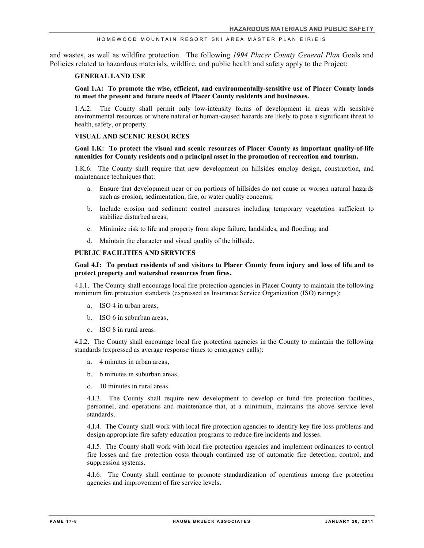and wastes, as well as wildfire protection. The following *1994 Placer County General Plan* Goals and Policies related to hazardous materials, wildfire, and public health and safety apply to the Project:

#### **GENERAL LAND USE**

#### **Goal 1.A: To promote the wise, efficient, and environmentally-sensitive use of Placer County lands to meet the present and future needs of Placer County residents and businesses.**

1.A.2. The County shall permit only low-intensity forms of development in areas with sensitive environmental resources or where natural or human-caused hazards are likely to pose a significant threat to health, safety, or property.

#### **VISUAL AND SCENIC RESOURCES**

#### **Goal 1.K: To protect the visual and scenic resources of Placer County as important quality-of-life amenities for County residents and a principal asset in the promotion of recreation and tourism.**

1.K.6. The County shall require that new development on hillsides employ design, construction, and maintenance techniques that:

- a. Ensure that development near or on portions of hillsides do not cause or worsen natural hazards such as erosion, sedimentation, fire, or water quality concerns;
- b. Include erosion and sediment control measures including temporary vegetation sufficient to stabilize disturbed areas;
- c. Minimize risk to life and property from slope failure, landslides, and flooding; and
- d. Maintain the character and visual quality of the hillside.

#### **PUBLIC FACILITIES AND SERVICES**

#### **Goal 4.I: To protect residents of and visitors to Placer County from injury and loss of life and to protect property and watershed resources from fires.**

4.I.1. The County shall encourage local fire protection agencies in Placer County to maintain the following minimum fire protection standards (expressed as Insurance Service Organization (ISO) ratings):

- a. ISO 4 in urban areas,
- b. ISO 6 in suburban areas,
- c. ISO 8 in rural areas.

4.I.2. The County shall encourage local fire protection agencies in the County to maintain the following standards (expressed as average response times to emergency calls):

- a. 4 minutes in urban areas,
- b. 6 minutes in suburban areas,
- c. 10 minutes in rural areas.

4.I.3. The County shall require new development to develop or fund fire protection facilities, personnel, and operations and maintenance that, at a minimum, maintains the above service level standards.

4.I.4. The County shall work with local fire protection agencies to identify key fire loss problems and design appropriate fire safety education programs to reduce fire incidents and losses.

4.I.5. The County shall work with local fire protection agencies and implement ordinances to control fire losses and fire protection costs through continued use of automatic fire detection, control, and suppression systems.

4.I.6. The County shall continue to promote standardization of operations among fire protection agencies and improvement of fire service levels.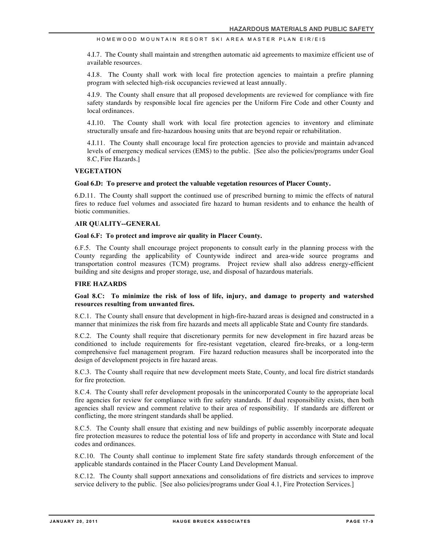4.I.7. The County shall maintain and strengthen automatic aid agreements to maximize efficient use of available resources.

4.I.8. The County shall work with local fire protection agencies to maintain a prefire planning program with selected high-risk occupancies reviewed at least annually.

4.I.9. The County shall ensure that all proposed developments are reviewed for compliance with fire safety standards by responsible local fire agencies per the Uniform Fire Code and other County and local ordinances.

4.I.10. The County shall work with local fire protection agencies to inventory and eliminate structurally unsafe and fire-hazardous housing units that are beyond repair or rehabilitation.

4.I.11. The County shall encourage local fire protection agencies to provide and maintain advanced levels of emergency medical services (EMS) to the public. [See also the policies/programs under Goal 8.C, Fire Hazards.]

#### **VEGETATION**

#### **Goal 6.D: To preserve and protect the valuable vegetation resources of Placer County.**

6.D.11. The County shall support the continued use of prescribed burning to mimic the effects of natural fires to reduce fuel volumes and associated fire hazard to human residents and to enhance the health of biotic communities.

#### **AIR QUALITY--GENERAL**

#### **Goal 6.F: To protect and improve air quality in Placer County.**

6.F.5. The County shall encourage project proponents to consult early in the planning process with the County regarding the applicability of Countywide indirect and area-wide source programs and transportation control measures (TCM) programs. Project review shall also address energy-efficient building and site designs and proper storage, use, and disposal of hazardous materials.

#### **FIRE HAZARDS**

#### **Goal 8.C: To minimize the risk of loss of life, injury, and damage to property and watershed resources resulting from unwanted fires.**

8.C.1. The County shall ensure that development in high-fire-hazard areas is designed and constructed in a manner that minimizes the risk from fire hazards and meets all applicable State and County fire standards.

8.C.2. The County shall require that discretionary permits for new development in fire hazard areas be conditioned to include requirements for fire-resistant vegetation, cleared fire-breaks, or a long-term comprehensive fuel management program. Fire hazard reduction measures shall be incorporated into the design of development projects in fire hazard areas.

8.C.3. The County shall require that new development meets State, County, and local fire district standards for fire protection.

8.C.4. The County shall refer development proposals in the unincorporated County to the appropriate local fire agencies for review for compliance with fire safety standards. If dual responsibility exists, then both agencies shall review and comment relative to their area of responsibility. If standards are different or conflicting, the more stringent standards shall be applied.

8.C.5. The County shall ensure that existing and new buildings of public assembly incorporate adequate fire protection measures to reduce the potential loss of life and property in accordance with State and local codes and ordinances.

8.C.10. The County shall continue to implement State fire safety standards through enforcement of the applicable standards contained in the Placer County Land Development Manual.

8.C.12. The County shall support annexations and consolidations of fire districts and services to improve service delivery to the public. [See also policies/programs under Goal 4.1, Fire Protection Services.]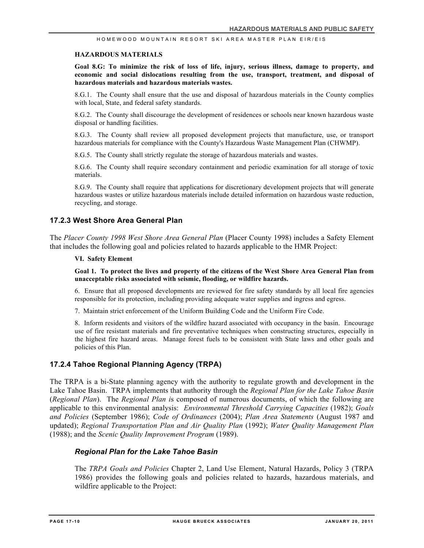#### **HAZARDOUS MATERIALS**

**Goal 8.G: To minimize the risk of loss of life, injury, serious illness, damage to property, and economic and social dislocations resulting from the use, transport, treatment, and disposal of hazardous materials and hazardous materials wastes.**

8.G.1. The County shall ensure that the use and disposal of hazardous materials in the County complies with local, State, and federal safety standards.

8.G.2. The County shall discourage the development of residences or schools near known hazardous waste disposal or handling facilities.

8.G.3. The County shall review all proposed development projects that manufacture, use, or transport hazardous materials for compliance with the County's Hazardous Waste Management Plan (CHWMP).

8.G.5. The County shall strictly regulate the storage of hazardous materials and wastes.

8.G.6. The County shall require secondary containment and periodic examination for all storage of toxic materials.

8.G.9. The County shall require that applications for discretionary development projects that will generate hazardous wastes or utilize hazardous materials include detailed information on hazardous waste reduction, recycling, and storage.

### **17.2.3 West Shore Area General Plan**

The *Placer County 1998 West Shore Area General Plan* (Placer County 1998) includes a Safety Element that includes the following goal and policies related to hazards applicable to the HMR Project:

#### **VI. Safety Element**

**Goal 1. To protect the lives and property of the citizens of the West Shore Area General Plan from unacceptable risks associated with seismic, flooding, or wildfire hazards.**

6. Ensure that all proposed developments are reviewed for fire safety standards by all local fire agencies responsible for its protection, including providing adequate water supplies and ingress and egress.

7. Maintain strict enforcement of the Uniform Building Code and the Uniform Fire Code.

8. Inform residents and visitors of the wildfire hazard associated with occupancy in the basin. Encourage use of fire resistant materials and fire preventative techniques when constructing structures, especially in the highest fire hazard areas. Manage forest fuels to be consistent with State laws and other goals and policies of this Plan.

#### **17.2.4 Tahoe Regional Planning Agency (TRPA)**

The TRPA is a bi-State planning agency with the authority to regulate growth and development in the Lake Tahoe Basin. TRPA implements that authority through the *Regional Plan for the Lake Tahoe Basin* (*Regional Plan*). The *Regional Plan i*s composed of numerous documents, of which the following are applicable to this environmental analysis: *Environmental Threshold Carrying Capacities* (1982); *Goals and Policies* (September 1986); *Code of Ordinances* (2004); *Plan Area Statements* (August 1987 and updated); *Regional Transportation Plan and Air Quality Plan* (1992); *Water Quality Management Plan* (1988); and the *Scenic Quality Improvement Program* (1989).

#### *Regional Plan for the Lake Tahoe Basin*

The *TRPA Goals and Policies* Chapter 2, Land Use Element, Natural Hazards, Policy 3 (TRPA 1986) provides the following goals and policies related to hazards, hazardous materials, and wildfire applicable to the Project: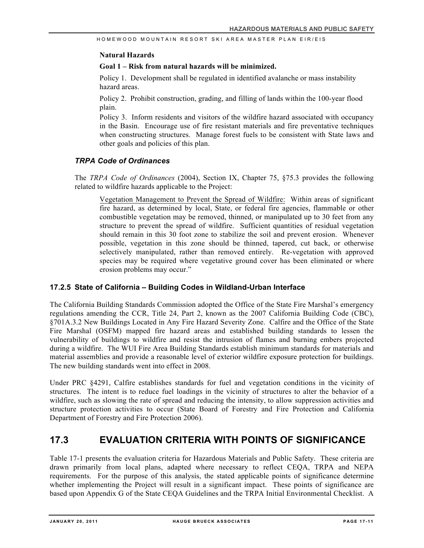## **Natural Hazards**

# **Goal 1 – Risk from natural hazards will be minimized.**

Policy 1. Development shall be regulated in identified avalanche or mass instability hazard areas.

Policy 2. Prohibit construction, grading, and filling of lands within the 100-year flood plain.

Policy 3. Inform residents and visitors of the wildfire hazard associated with occupancy in the Basin. Encourage use of fire resistant materials and fire preventative techniques when constructing structures. Manage forest fuels to be consistent with State laws and other goals and policies of this plan.

# *TRPA Code of Ordinances*

The *TRPA Code of Ordinances* (2004), Section IX, Chapter 75, §75.3 provides the following related to wildfire hazards applicable to the Project:

Vegetation Management to Prevent the Spread of Wildfire: Within areas of significant fire hazard, as determined by local, State, or federal fire agencies, flammable or other combustible vegetation may be removed, thinned, or manipulated up to 30 feet from any structure to prevent the spread of wildfire. Sufficient quantities of residual vegetation should remain in this 30 foot zone to stabilize the soil and prevent erosion. Whenever possible, vegetation in this zone should be thinned, tapered, cut back, or otherwise selectively manipulated, rather than removed entirely. Re-vegetation with approved species may be required where vegetative ground cover has been eliminated or where erosion problems may occur."

# **17.2.5 State of California – Building Codes in Wildland-Urban Interface**

The California Building Standards Commission adopted the Office of the State Fire Marshal's emergency regulations amending the CCR, Title 24, Part 2, known as the 2007 California Building Code (CBC), §701A.3.2 New Buildings Located in Any Fire Hazard Severity Zone. Calfire and the Office of the State Fire Marshal (OSFM) mapped fire hazard areas and established building standards to lessen the vulnerability of buildings to wildfire and resist the intrusion of flames and burning embers projected during a wildfire. The WUI Fire Area Building Standards establish minimum standards for materials and material assemblies and provide a reasonable level of exterior wildfire exposure protection for buildings. The new building standards went into effect in 2008.

Under PRC §4291, Calfire establishes standards for fuel and vegetation conditions in the vicinity of structures. The intent is to reduce fuel loadings in the vicinity of structures to alter the behavior of a wildfire, such as slowing the rate of spread and reducing the intensity, to allow suppression activities and structure protection activities to occur (State Board of Forestry and Fire Protection and California Department of Forestry and Fire Protection 2006).

# **17.3 EVALUATION CRITERIA WITH POINTS OF SIGNIFICANCE**

Table 17-1 presents the evaluation criteria for Hazardous Materials and Public Safety. These criteria are drawn primarily from local plans, adapted where necessary to reflect CEQA, TRPA and NEPA requirements. For the purpose of this analysis, the stated applicable points of significance determine whether implementing the Project will result in a significant impact. These points of significance are based upon Appendix G of the State CEQA Guidelines and the TRPA Initial Environmental Checklist. A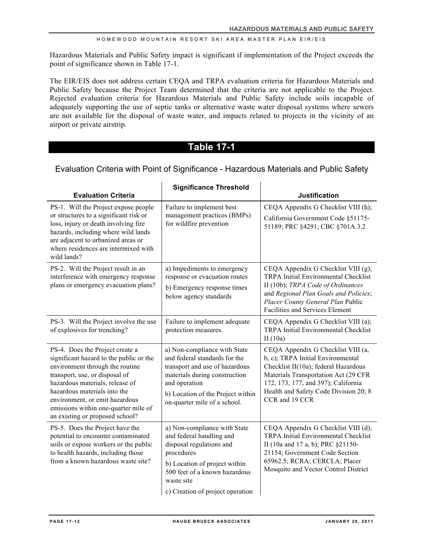Hazardous Materials and Public Safety impact is significant if implementation of the Project exceeds the point of significance shown in Table 17-1.

The EIR/EIS does not address certain CEQA and TRPA evaluation criteria for Hazardous Materials and Public Safety because the Project Team determined that the criteria are not applicable to the Project. Rejected evaluation criteria for Hazardous Materials and Public Safety include soils incapable of adequately supporting the use of septic tanks or alternative waste water disposal systems where sewers are not available for the disposal of waste water, and impacts related to projects in the vicinity of an airport or private airstrip.

# **Table 17-1**

# Evaluation Criteria with Point of Significance - Hazardous Materials and Public Safety

|                                                                                                                                                                                                                                                                                                                                 | <b>Significance Threshold</b>                                                                                                                                                                                          |                                                                                                                                                                                                                                                           |
|---------------------------------------------------------------------------------------------------------------------------------------------------------------------------------------------------------------------------------------------------------------------------------------------------------------------------------|------------------------------------------------------------------------------------------------------------------------------------------------------------------------------------------------------------------------|-----------------------------------------------------------------------------------------------------------------------------------------------------------------------------------------------------------------------------------------------------------|
| <b>Evaluation Criteria</b>                                                                                                                                                                                                                                                                                                      |                                                                                                                                                                                                                        | <b>Justification</b>                                                                                                                                                                                                                                      |
| PS-1. Will the Project expose people<br>or structures to a significant risk or<br>loss, injury or death involving fire<br>hazards, including where wild lands<br>are adjacent to urbanized areas or<br>where residences are intermixed with<br>wild lands?                                                                      | Failure to implement best<br>management practices (BMPs)<br>for wildfire prevention                                                                                                                                    | CEQA Appendix G Checklist VIII (h);<br>California Government Code §51175-<br>51189; PRC §4291; CBC §701A.3.2                                                                                                                                              |
| PS-2. Will the Project result in an<br>interference with emergency response<br>plans or emergency evacuation plans?                                                                                                                                                                                                             | a) Impediments to emergency<br>response or evacuation routes<br>b) Emergency response times<br>below agency standards                                                                                                  | CEQA Appendix G Checklist VIII (g);<br>TRPA Initial Environmental Checklist<br>II (10b); TRPA Code of Ordinances<br>and Regional Plan Goals and Policies;<br>Placer County General Plan Public<br><b>Facilities and Services Element</b>                  |
| PS-3. Will the Project involve the use<br>of explosives for trenching?                                                                                                                                                                                                                                                          | Failure to implement adequate<br>protection measures.                                                                                                                                                                  | CEQA Appendix G Checklist VIII (a);<br><b>TRPA Initial Environmental Checklist</b><br>II $(10a)$                                                                                                                                                          |
| PS-4. Does the Project create a<br>significant hazard to the public or the<br>environment through the routine<br>transport, use, or disposal of<br>hazardous materials, release of<br>hazardous materials into the<br>environment, or emit hazardous<br>emissions within one-quarter mile of<br>an existing or proposed school? | a) Non-compliance with State<br>and federal standards for the<br>transport and use of hazardous<br>materials during construction<br>and operation<br>b) Location of the Project within<br>on-quarter mile of a school. | CEQA Appendix G Checklist VIII (a,<br>b, c); TRPA Initial Environmental<br>Checklist II(10a); federal Hazardous<br>Materials Transportation Act (29 CFR<br>172, 173, 177, and 397); California<br>Health and Safety Code Division 20; 8<br>CCR and 19 CCR |
| PS-5. Does the Project have the<br>potential to encounter contaminated<br>soils or expose workers or the public<br>to health hazards, including those<br>from a known hazardous waste site?                                                                                                                                     | a) Non-compliance with State<br>and federal handling and<br>disposal regulations and<br>procedures<br>b) Location of project within<br>500 feet of a known hazardous<br>waste site<br>c) Creation of project operation | CEQA Appendix G Checklist VIII (d);<br>TRPA Initial Environmental Checklist<br>II (10a and 17 a, b); PRC §21150-<br>21154; Government Code Section<br>65962.5; RCRA; CERCLA; Placer<br>Mosquito and Vector Control District                               |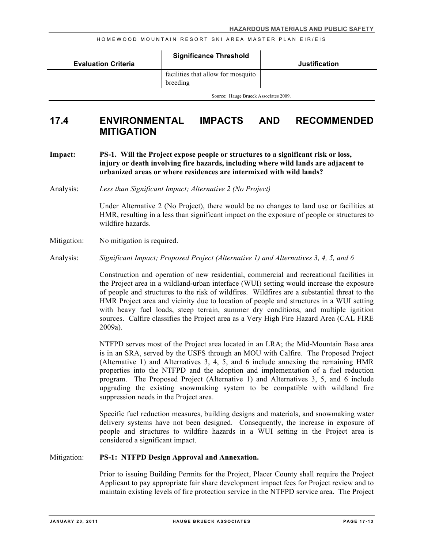|                            | <b>Significance Threshold</b>                  |                      |
|----------------------------|------------------------------------------------|----------------------|
| <b>Evaluation Criteria</b> |                                                | <b>Justification</b> |
|                            | facilities that allow for mosquito<br>breeding |                      |
|                            | Source: Hauge Brueck Associates 2009.          |                      |

# **17.4 ENVIRONMENTAL IMPACTS AND RECOMMENDED MITIGATION**

**Impact: PS-1. Will the Project expose people or structures to a significant risk or loss, injury or death involving fire hazards, including where wild lands are adjacent to urbanized areas or where residences are intermixed with wild lands?**

Analysis: *Less than Significant Impact; Alternative 2 (No Project)*

Under Alternative 2 (No Project), there would be no changes to land use or facilities at HMR, resulting in a less than significant impact on the exposure of people or structures to wildfire hazards.

- Mitigation: No mitigation is required.
- Analysis: *Significant Impact; Proposed Project (Alternative 1) and Alternatives 3, 4, 5, and 6*

Construction and operation of new residential, commercial and recreational facilities in the Project area in a wildland-urban interface (WUI) setting would increase the exposure of people and structures to the risk of wildfires. Wildfires are a substantial threat to the HMR Project area and vicinity due to location of people and structures in a WUI setting with heavy fuel loads, steep terrain, summer dry conditions, and multiple ignition sources. Calfire classifies the Project area as a Very High Fire Hazard Area (CAL FIRE 2009a).

NTFPD serves most of the Project area located in an LRA; the Mid-Mountain Base area is in an SRA, served by the USFS through an MOU with Calfire. The Proposed Project (Alternative 1) and Alternatives 3, 4, 5, and 6 include annexing the remaining HMR properties into the NTFPD and the adoption and implementation of a fuel reduction program. The Proposed Project (Alternative 1) and Alternatives 3, 5, and 6 include upgrading the existing snowmaking system to be compatible with wildland fire suppression needs in the Project area.

Specific fuel reduction measures, building designs and materials, and snowmaking water delivery systems have not been designed. Consequently, the increase in exposure of people and structures to wildfire hazards in a WUI setting in the Project area is considered a significant impact.

#### Mitigation: **PS-1: NTFPD Design Approval and Annexation.**

Prior to issuing Building Permits for the Project, Placer County shall require the Project Applicant to pay appropriate fair share development impact fees for Project review and to maintain existing levels of fire protection service in the NTFPD service area. The Project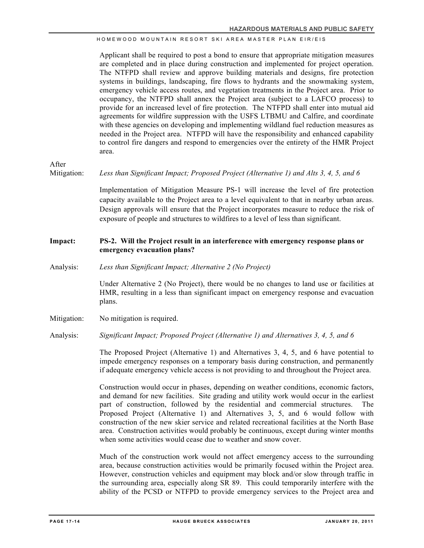Applicant shall be required to post a bond to ensure that appropriate mitigation measures are completed and in place during construction and implemented for project operation. The NTFPD shall review and approve building materials and designs, fire protection systems in buildings, landscaping, fire flows to hydrants and the snowmaking system, emergency vehicle access routes, and vegetation treatments in the Project area. Prior to occupancy, the NTFPD shall annex the Project area (subject to a LAFCO process) to provide for an increased level of fire protection. The NTFPD shall enter into mutual aid agreements for wildfire suppression with the USFS LTBMU and Calfire, and coordinate with these agencies on developing and implementing wildland fuel reduction measures as needed in the Project area. NTFPD will have the responsibility and enhanced capability to control fire dangers and respond to emergencies over the entirety of the HMR Project area.

After

Mitigation: *Less than Significant Impact; Proposed Project (Alternative 1) and Alts 3, 4, 5, and 6*

Implementation of Mitigation Measure PS-1 will increase the level of fire protection capacity available to the Project area to a level equivalent to that in nearby urban areas. Design approvals will ensure that the Project incorporates measure to reduce the risk of exposure of people and structures to wildfires to a level of less than significant.

## **Impact: PS-2. Will the Project result in an interference with emergency response plans or emergency evacuation plans?**

Analysis: *Less than Significant Impact; Alternative 2 (No Project)*

Under Alternative 2 (No Project), there would be no changes to land use or facilities at HMR, resulting in a less than significant impact on emergency response and evacuation plans.

Mitigation: No mitigation is required.

Analysis: *Significant Impact; Proposed Project (Alternative 1) and Alternatives 3, 4, 5, and 6* 

The Proposed Project (Alternative 1) and Alternatives 3, 4, 5, and 6 have potential to impede emergency responses on a temporary basis during construction, and permanently if adequate emergency vehicle access is not providing to and throughout the Project area.

Construction would occur in phases, depending on weather conditions, economic factors, and demand for new facilities. Site grading and utility work would occur in the earliest part of construction, followed by the residential and commercial structures. The Proposed Project (Alternative 1) and Alternatives 3, 5, and 6 would follow with construction of the new skier service and related recreational facilities at the North Base area. Construction activities would probably be continuous, except during winter months when some activities would cease due to weather and snow cover.

Much of the construction work would not affect emergency access to the surrounding area, because construction activities would be primarily focused within the Project area. However, construction vehicles and equipment may block and/or slow through traffic in the surrounding area, especially along SR 89. This could temporarily interfere with the ability of the PCSD or NTFPD to provide emergency services to the Project area and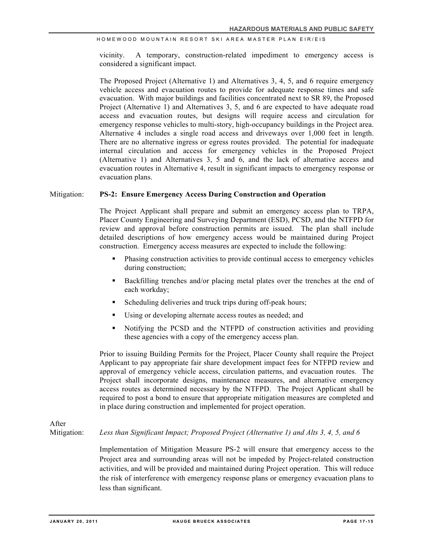vicinity. A temporary, construction-related impediment to emergency access is considered a significant impact.

The Proposed Project (Alternative 1) and Alternatives 3, 4, 5, and 6 require emergency vehicle access and evacuation routes to provide for adequate response times and safe evacuation. With major buildings and facilities concentrated next to SR 89, the Proposed Project (Alternative 1) and Alternatives 3, 5, and 6 are expected to have adequate road access and evacuation routes, but designs will require access and circulation for emergency response vehicles to multi-story, high-occupancy buildings in the Project area. Alternative 4 includes a single road access and driveways over 1,000 feet in length. There are no alternative ingress or egress routes provided. The potential for inadequate internal circulation and access for emergency vehicles in the Proposed Project (Alternative 1) and Alternatives 3, 5 and 6, and the lack of alternative access and evacuation routes in Alternative 4, result in significant impacts to emergency response or evacuation plans.

#### Mitigation: **PS-2: Ensure Emergency Access During Construction and Operation**

The Project Applicant shall prepare and submit an emergency access plan to TRPA, Placer County Engineering and Surveying Department (ESD), PCSD, and the NTFPD for review and approval before construction permits are issued. The plan shall include detailed descriptions of how emergency access would be maintained during Project construction. Emergency access measures are expected to include the following:

- ! Phasing construction activities to provide continual access to emergency vehicles during construction;
- ! Backfilling trenches and/or placing metal plates over the trenches at the end of each workday;
- Scheduling deliveries and truck trips during off-peak hours;
- Using or developing alternate access routes as needed; and
- ! Notifying the PCSD and the NTFPD of construction activities and providing these agencies with a copy of the emergency access plan.

Prior to issuing Building Permits for the Project, Placer County shall require the Project Applicant to pay appropriate fair share development impact fees for NTFPD review and approval of emergency vehicle access, circulation patterns, and evacuation routes. The Project shall incorporate designs, maintenance measures, and alternative emergency access routes as determined necessary by the NTFPD. The Project Applicant shall be required to post a bond to ensure that appropriate mitigation measures are completed and in place during construction and implemented for project operation.

# After

Mitigation: *Less than Significant Impact; Proposed Project (Alternative 1) and Alts 3, 4, 5, and 6*

Implementation of Mitigation Measure PS-2 will ensure that emergency access to the Project area and surrounding areas will not be impeded by Project-related construction activities, and will be provided and maintained during Project operation. This will reduce the risk of interference with emergency response plans or emergency evacuation plans to less than significant.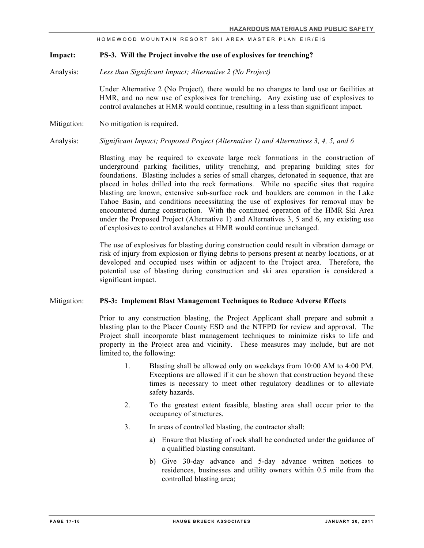#### **Impact: PS-3. Will the Project involve the use of explosives for trenching?**

Analysis: *Less than Significant Impact; Alternative 2 (No Project)*

Under Alternative 2 (No Project), there would be no changes to land use or facilities at HMR, and no new use of explosives for trenching. Any existing use of explosives to control avalanches at HMR would continue, resulting in a less than significant impact.

Mitigation: No mitigation is required.

Analysis: *Significant Impact; Proposed Project (Alternative 1) and Alternatives 3, 4, 5, and 6* 

Blasting may be required to excavate large rock formations in the construction of underground parking facilities, utility trenching, and preparing building sites for foundations. Blasting includes a series of small charges, detonated in sequence, that are placed in holes drilled into the rock formations. While no specific sites that require blasting are known, extensive sub-surface rock and boulders are common in the Lake Tahoe Basin, and conditions necessitating the use of explosives for removal may be encountered during construction. With the continued operation of the HMR Ski Area under the Proposed Project (Alternative 1) and Alternatives 3, 5 and 6, any existing use of explosives to control avalanches at HMR would continue unchanged.

The use of explosives for blasting during construction could result in vibration damage or risk of injury from explosion or flying debris to persons present at nearby locations, or at developed and occupied uses within or adjacent to the Project area. Therefore, the potential use of blasting during construction and ski area operation is considered a significant impact.

#### Mitigation: **PS-3: Implement Blast Management Techniques to Reduce Adverse Effects**

Prior to any construction blasting, the Project Applicant shall prepare and submit a blasting plan to the Placer County ESD and the NTFPD for review and approval. The Project shall incorporate blast management techniques to minimize risks to life and property in the Project area and vicinity. These measures may include, but are not limited to, the following:

- 1. Blasting shall be allowed only on weekdays from 10:00 AM to 4:00 PM. Exceptions are allowed if it can be shown that construction beyond these times is necessary to meet other regulatory deadlines or to alleviate safety hazards.
- 2. To the greatest extent feasible, blasting area shall occur prior to the occupancy of structures.
- 3. In areas of controlled blasting, the contractor shall:
	- a) Ensure that blasting of rock shall be conducted under the guidance of a qualified blasting consultant.
	- b) Give 30-day advance and 5-day advance written notices to residences, businesses and utility owners within 0.5 mile from the controlled blasting area;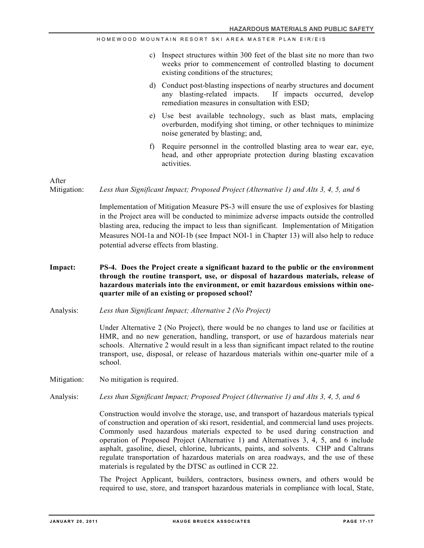- c) Inspect structures within 300 feet of the blast site no more than two weeks prior to commencement of controlled blasting to document existing conditions of the structures;
- d) Conduct post-blasting inspections of nearby structures and document any blasting-related impacts. If impacts occurred, develop remediation measures in consultation with ESD;
- e) Use best available technology, such as blast mats, emplacing overburden, modifying shot timing, or other techniques to minimize noise generated by blasting; and,
- f) Require personnel in the controlled blasting area to wear ear, eye, head, and other appropriate protection during blasting excavation activities.

After

Mitigation: *Less than Significant Impact; Proposed Project (Alternative 1) and Alts 3, 4, 5, and 6* 

Implementation of Mitigation Measure PS-3 will ensure the use of explosives for blasting in the Project area will be conducted to minimize adverse impacts outside the controlled blasting area, reducing the impact to less than significant. Implementation of Mitigation Measures NOI-1a and NOI-1b (see Impact NOI-1 in Chapter 13) will also help to reduce potential adverse effects from blasting.

- **Impact: PS-4. Does the Project create a significant hazard to the public or the environment through the routine transport, use, or disposal of hazardous materials, release of hazardous materials into the environment, or emit hazardous emissions within onequarter mile of an existing or proposed school?**
- Analysis: *Less than Significant Impact; Alternative 2 (No Project)*

Under Alternative 2 (No Project), there would be no changes to land use or facilities at HMR, and no new generation, handling, transport, or use of hazardous materials near schools. Alternative 2 would result in a less than significant impact related to the routine transport, use, disposal, or release of hazardous materials within one-quarter mile of a school.

- Mitigation: No mitigation is required.
- Analysis: *Less than Significant Impact; Proposed Project (Alternative 1) and Alts 3, 4, 5, and 6*

Construction would involve the storage, use, and transport of hazardous materials typical of construction and operation of ski resort, residential, and commercial land uses projects. Commonly used hazardous materials expected to be used during construction and operation of Proposed Project (Alternative 1) and Alternatives 3, 4, 5, and 6 include asphalt, gasoline, diesel, chlorine, lubricants, paints, and solvents. CHP and Caltrans regulate transportation of hazardous materials on area roadways, and the use of these materials is regulated by the DTSC as outlined in CCR 22.

The Project Applicant, builders, contractors, business owners, and others would be required to use, store, and transport hazardous materials in compliance with local, State,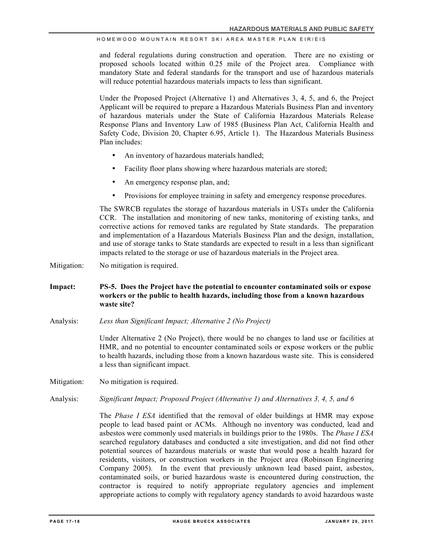and federal regulations during construction and operation. There are no existing or proposed schools located within 0.25 mile of the Project area. Compliance with mandatory State and federal standards for the transport and use of hazardous materials will reduce potential hazardous materials impacts to less than significant.

Under the Proposed Project (Alternative 1) and Alternatives 3, 4, 5, and 6, the Project Applicant will be required to prepare a Hazardous Materials Business Plan and inventory of hazardous materials under the State of California Hazardous Materials Release Response Plans and Inventory Law of 1985 (Business Plan Act, California Health and Safety Code, Division 20, Chapter 6.95, Article 1). The Hazardous Materials Business Plan includes:

- An inventory of hazardous materials handled;
- Facility floor plans showing where hazardous materials are stored;
- An emergency response plan, and;
- Provisions for employee training in safety and emergency response procedures.

The SWRCB regulates the storage of hazardous materials in USTs under the California CCR. The installation and monitoring of new tanks, monitoring of existing tanks, and corrective actions for removed tanks are regulated by State standards. The preparation and implementation of a Hazardous Materials Business Plan and the design, installation, and use of storage tanks to State standards are expected to result in a less than significant impacts related to the storage or use of hazardous materials in the Project area.

Mitigation: No mitigation is required.

- **Impact: PS-5. Does the Project have the potential to encounter contaminated soils or expose workers or the public to health hazards, including those from a known hazardous waste site?**
- Analysis: *Less than Significant Impact; Alternative 2 (No Project)*

Under Alternative 2 (No Project), there would be no changes to land use or facilities at HMR, and no potential to encounter contaminated soils or expose workers or the public to health hazards, including those from a known hazardous waste site. This is considered a less than significant impact.

Mitigation: No mitigation is required.

Analysis: *Significant Impact; Proposed Project (Alternative 1) and Alternatives 3, 4, 5, and 6* 

The *Phase I ESA* identified that the removal of older buildings at HMR may expose people to lead based paint or ACMs. Although no inventory was conducted, lead and asbestos were commonly used materials in buildings prior to the 1980s. The *Phase I ESA* searched regulatory databases and conducted a site investigation, and did not find other potential sources of hazardous materials or waste that would pose a health hazard for residents, visitors, or construction workers in the Project area (Robinson Engineering Company 2005). In the event that previously unknown lead based paint, asbestos, contaminated soils, or buried hazardous waste is encountered during construction, the contractor is required to notify appropriate regulatory agencies and implement appropriate actions to comply with regulatory agency standards to avoid hazardous waste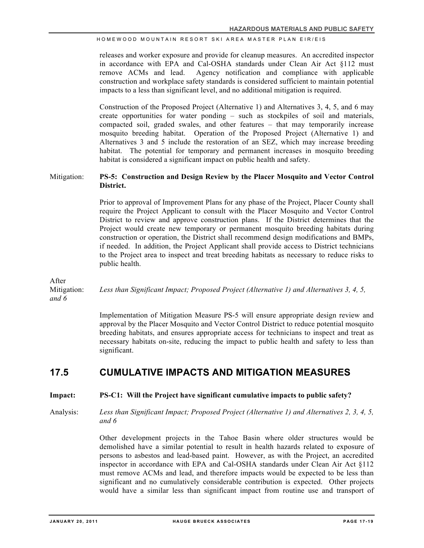releases and worker exposure and provide for cleanup measures. An accredited inspector in accordance with EPA and Cal-OSHA standards under Clean Air Act §112 must remove ACMs and lead. Agency notification and compliance with applicable construction and workplace safety standards is considered sufficient to maintain potential impacts to a less than significant level, and no additional mitigation is required.

Construction of the Proposed Project (Alternative 1) and Alternatives 3, 4, 5, and 6 may create opportunities for water ponding – such as stockpiles of soil and materials, compacted soil, graded swales, and other features – that may temporarily increase mosquito breeding habitat. Operation of the Proposed Project (Alternative 1) and Alternatives 3 and 5 include the restoration of an SEZ, which may increase breeding habitat. The potential for temporary and permanent increases in mosquito breeding habitat is considered a significant impact on public health and safety.

### Mitigation: **PS-5: Construction and Design Review by the Placer Mosquito and Vector Control District.**

Prior to approval of Improvement Plans for any phase of the Project, Placer County shall require the Project Applicant to consult with the Placer Mosquito and Vector Control District to review and approve construction plans. If the District determines that the Project would create new temporary or permanent mosquito breeding habitats during construction or operation, the District shall recommend design modifications and BMPs, if needed. In addition, the Project Applicant shall provide access to District technicians to the Project area to inspect and treat breeding habitats as necessary to reduce risks to public health.

After

Mitigation: *Less than Significant Impact; Proposed Project (Alternative 1) and Alternatives 3, 4, 5,* 

*and 6* 

Implementation of Mitigation Measure PS-5 will ensure appropriate design review and approval by the Placer Mosquito and Vector Control District to reduce potential mosquito breeding habitats, and ensures appropriate access for technicians to inspect and treat as necessary habitats on-site, reducing the impact to public health and safety to less than significant.

# **17.5 CUMULATIVE IMPACTS AND MITIGATION MEASURES**

#### **Impact: PS-C1: Will the Project have significant cumulative impacts to public safety?**

Analysis: *Less than Significant Impact; Proposed Project (Alternative 1) and Alternatives 2, 3, 4, 5, and 6*

> Other development projects in the Tahoe Basin where older structures would be demolished have a similar potential to result in health hazards related to exposure of persons to asbestos and lead-based paint. However, as with the Project, an accredited inspector in accordance with EPA and Cal-OSHA standards under Clean Air Act §112 must remove ACMs and lead, and therefore impacts would be expected to be less than significant and no cumulatively considerable contribution is expected. Other projects would have a similar less than significant impact from routine use and transport of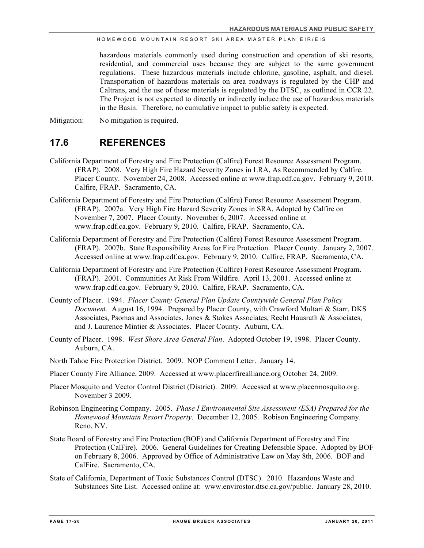hazardous materials commonly used during construction and operation of ski resorts, residential, and commercial uses because they are subject to the same government regulations. These hazardous materials include chlorine, gasoline, asphalt, and diesel. Transportation of hazardous materials on area roadways is regulated by the CHP and Caltrans, and the use of these materials is regulated by the DTSC, as outlined in CCR 22. The Project is not expected to directly or indirectly induce the use of hazardous materials in the Basin. Therefore, no cumulative impact to public safety is expected.

Mitigation: No mitigation is required.

# **17.6 REFERENCES**

- California Department of Forestry and Fire Protection (Calfire) Forest Resource Assessment Program. (FRAP). 2008. Very High Fire Hazard Severity Zones in LRA, As Recommended by Calfire. Placer County. November 24, 2008. Accessed online at www.frap.cdf.ca.gov. February 9, 2010. Calfire, FRAP. Sacramento, CA.
- California Department of Forestry and Fire Protection (Calfire) Forest Resource Assessment Program. (FRAP). 2007a. Very High Fire Hazard Severity Zones in SRA, Adopted by Calfire on November 7, 2007. Placer County. November 6, 2007. Accessed online at www.frap.cdf.ca.gov. February 9, 2010. Calfire, FRAP. Sacramento, CA.
- California Department of Forestry and Fire Protection (Calfire) Forest Resource Assessment Program. (FRAP). 2007b. State Responsibility Areas for Fire Protection. Placer County. January 2, 2007. Accessed online at www.frap.cdf.ca.gov. February 9, 2010. Calfire, FRAP. Sacramento, CA.
- California Department of Forestry and Fire Protection (Calfire) Forest Resource Assessment Program. (FRAP). 2001. Communities At Risk From Wildfire. April 13, 2001. Accessed online at www.frap.cdf.ca.gov. February 9, 2010. Calfire, FRAP. Sacramento, CA.
- County of Placer. 1994. *Placer County General Plan Update Countywide General Plan Policy Documen*t. August 16, 1994. Prepared by Placer County, with Crawford Multari & Starr, DKS Associates, Psomas and Associates, Jones & Stokes Associates, Recht Hausrath & Associates, and J. Laurence Mintier & Associates. Placer County. Auburn, CA.
- County of Placer. 1998. *West Shore Area General Plan*. Adopted October 19, 1998. Placer County. Auburn, CA.
- North Tahoe Fire Protection District. 2009. NOP Comment Letter. January 14.
- Placer County Fire Alliance, 2009. Accessed at www.placerfirealliance.org October 24, 2009.
- Placer Mosquito and Vector Control District (District). 2009. Accessed at www.placermosquito.org. November 3 2009.
- Robinson Engineering Company. 2005. *Phase I Environmental Site Assessment (ESA) Prepared for the Homewood Mountain Resort Property*. December 12, 2005. Robison Engineering Company. Reno, NV.
- State Board of Forestry and Fire Protection (BOF) and California Department of Forestry and Fire Protection (CalFire). 2006. General Guidelines for Creating Defensible Space. Adopted by BOF on February 8, 2006. Approved by Office of Administrative Law on May 8th, 2006. BOF and CalFire. Sacramento, CA.
- State of California, Department of Toxic Substances Control (DTSC). 2010. Hazardous Waste and Substances Site List. Accessed online at: www.envirostor.dtsc.ca.gov/public. January 28, 2010.